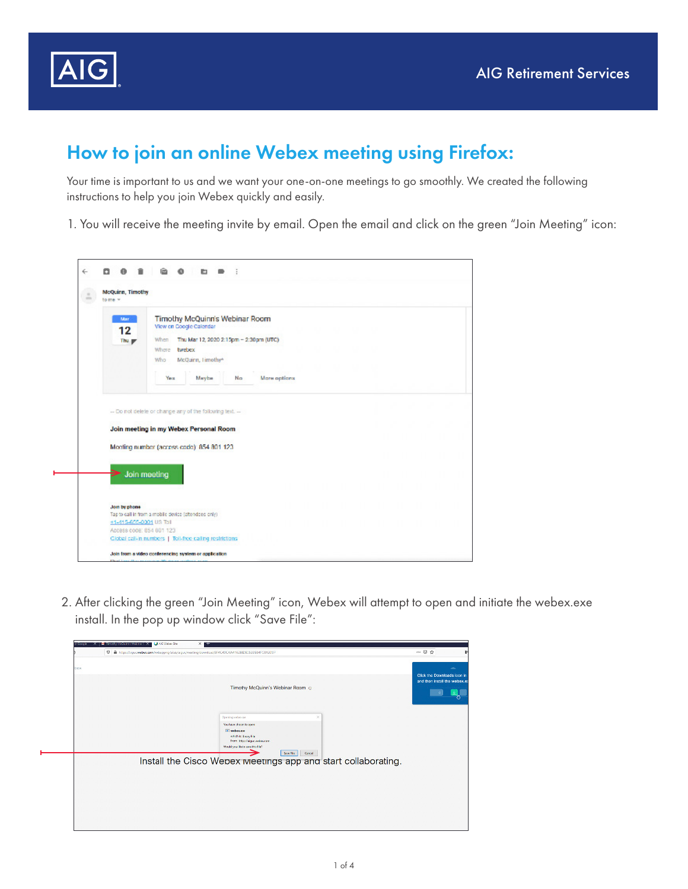



Your time is important to us and we want your one-on-one meetings to go smoothly. We created the following instructions to help you join Webex quickly and easily.

1. You will receive the meeting invite by email. Open the email and click on the green "Join Meeting" icon:

| $\stackrel{+}{-}$<br>÷ | <b>McQuinn, Timothy</b><br>to me =                  |                                                                                                    |  |  |  |  |  |  |  |  |  |  |  |  |  |
|------------------------|-----------------------------------------------------|----------------------------------------------------------------------------------------------------|--|--|--|--|--|--|--|--|--|--|--|--|--|
|                        | Mar<br>12                                           | Timothy McQuinn's Webinar Room<br>View on Coogle Calendar                                          |  |  |  |  |  |  |  |  |  |  |  |  |  |
|                        | Thu <sub>y</sub>                                    | Thu Mar 12, 2020 2:15pm - 2:30pm (UTC)<br><b>When</b>                                              |  |  |  |  |  |  |  |  |  |  |  |  |  |
|                        |                                                     | Where twebex                                                                                       |  |  |  |  |  |  |  |  |  |  |  |  |  |
|                        |                                                     | McQuinn, Timothy*<br>Who                                                                           |  |  |  |  |  |  |  |  |  |  |  |  |  |
|                        |                                                     |                                                                                                    |  |  |  |  |  |  |  |  |  |  |  |  |  |
|                        |                                                     | More options<br>Year<br>Maybe<br>No.                                                               |  |  |  |  |  |  |  |  |  |  |  |  |  |
|                        |                                                     |                                                                                                    |  |  |  |  |  |  |  |  |  |  |  |  |  |
|                        |                                                     | -- Do not delete or change any of the following text. --<br>Join meeting in my Webex Personal Room |  |  |  |  |  |  |  |  |  |  |  |  |  |
|                        |                                                     | Meeting number (access code) 854 801 123                                                           |  |  |  |  |  |  |  |  |  |  |  |  |  |
|                        | Join meeting                                        |                                                                                                    |  |  |  |  |  |  |  |  |  |  |  |  |  |
|                        | Join by phone                                       |                                                                                                    |  |  |  |  |  |  |  |  |  |  |  |  |  |
|                        |                                                     | Tap to call in from a mobile device (altendees only).                                              |  |  |  |  |  |  |  |  |  |  |  |  |  |
|                        | +1-415-605-0001 US Toll<br>Access code: 854 801 123 |                                                                                                    |  |  |  |  |  |  |  |  |  |  |  |  |  |

2. After clicking the green "Join Meeting" icon, Webex will attempt to open and initiate the webex.exe install. In the pop up window click "Save File":

|     | 0 A https://uguc.webec.com/websprep/abs/agac/mediag/sownload/5F4C49CAA41626EDE0533884FC0A3C97 |  |  |  |                                 |                    |                                                               |         |          |   |  |  |  |  | $\cdots \otimes \, \psi$ |  |                                                               |
|-----|-----------------------------------------------------------------------------------------------|--|--|--|---------------------------------|--------------------|---------------------------------------------------------------|---------|----------|---|--|--|--|--|--------------------------|--|---------------------------------------------------------------|
| bex |                                                                                               |  |  |  |                                 |                    |                                                               |         |          |   |  |  |  |  |                          |  | ٠                                                             |
|     |                                                                                               |  |  |  |                                 |                    |                                                               |         |          |   |  |  |  |  |                          |  | Click the Downloads icon is<br>and then install the webex, e. |
|     |                                                                                               |  |  |  |                                 |                    | Timothy McQuinn's Webinar Room @                              |         |          |   |  |  |  |  |                          |  |                                                               |
|     |                                                                                               |  |  |  |                                 |                    |                                                               |         |          |   |  |  |  |  |                          |  |                                                               |
|     |                                                                                               |  |  |  |                                 |                    |                                                               |         |          |   |  |  |  |  |                          |  |                                                               |
|     |                                                                                               |  |  |  | Denning webscape                |                    |                                                               |         |          | × |  |  |  |  |                          |  |                                                               |
|     |                                                                                               |  |  |  | Nazhave choose to open.         |                    |                                                               |         |          |   |  |  |  |  |                          |  |                                                               |
|     |                                                                                               |  |  |  | <b>In webscape</b>              | which is Know File |                                                               |         |          |   |  |  |  |  |                          |  |                                                               |
|     |                                                                                               |  |  |  | Modd you like to see this tile? |                    | from Inter/Valgue webscoard                                   |         |          |   |  |  |  |  |                          |  |                                                               |
|     |                                                                                               |  |  |  |                                 |                    |                                                               | See No. | Cancel . |   |  |  |  |  |                          |  |                                                               |
|     |                                                                                               |  |  |  |                                 |                    | Install the Cisco Webex Meetings app and start collaborating. |         |          |   |  |  |  |  |                          |  |                                                               |
|     |                                                                                               |  |  |  |                                 |                    |                                                               |         |          |   |  |  |  |  |                          |  |                                                               |
|     |                                                                                               |  |  |  |                                 |                    |                                                               |         |          |   |  |  |  |  |                          |  |                                                               |
|     |                                                                                               |  |  |  |                                 |                    |                                                               |         |          |   |  |  |  |  |                          |  |                                                               |
|     |                                                                                               |  |  |  |                                 |                    |                                                               |         |          |   |  |  |  |  |                          |  |                                                               |
|     |                                                                                               |  |  |  |                                 |                    |                                                               |         |          |   |  |  |  |  |                          |  |                                                               |
|     |                                                                                               |  |  |  |                                 |                    |                                                               |         |          |   |  |  |  |  |                          |  |                                                               |
|     |                                                                                               |  |  |  |                                 |                    |                                                               |         |          |   |  |  |  |  |                          |  |                                                               |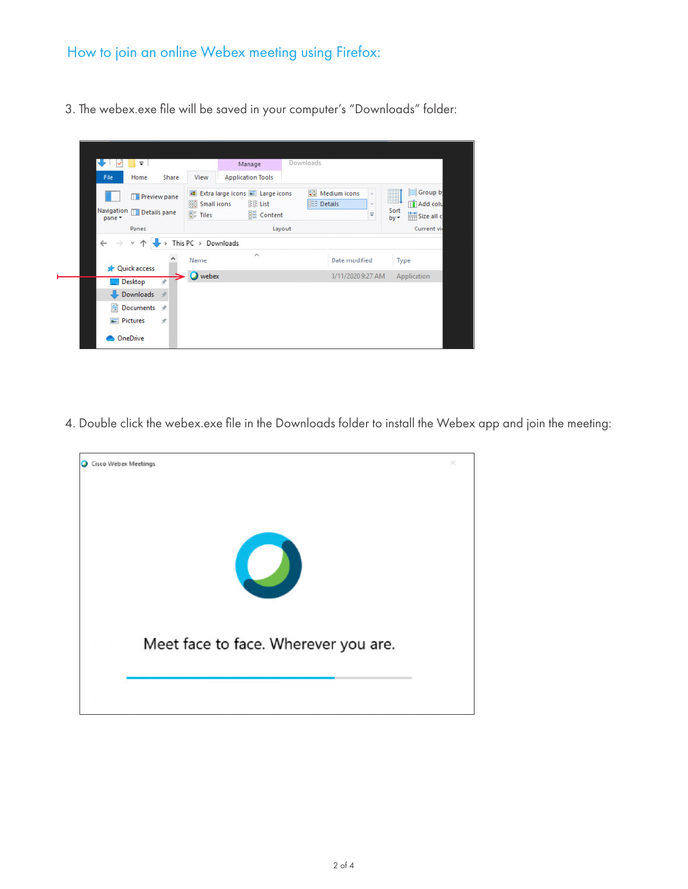3. The webex.exe file will be saved in your computer's "Downloads" folder:



4. Double click the webex.exe file in the Downloads folder to install the Webex app and join the meeting:

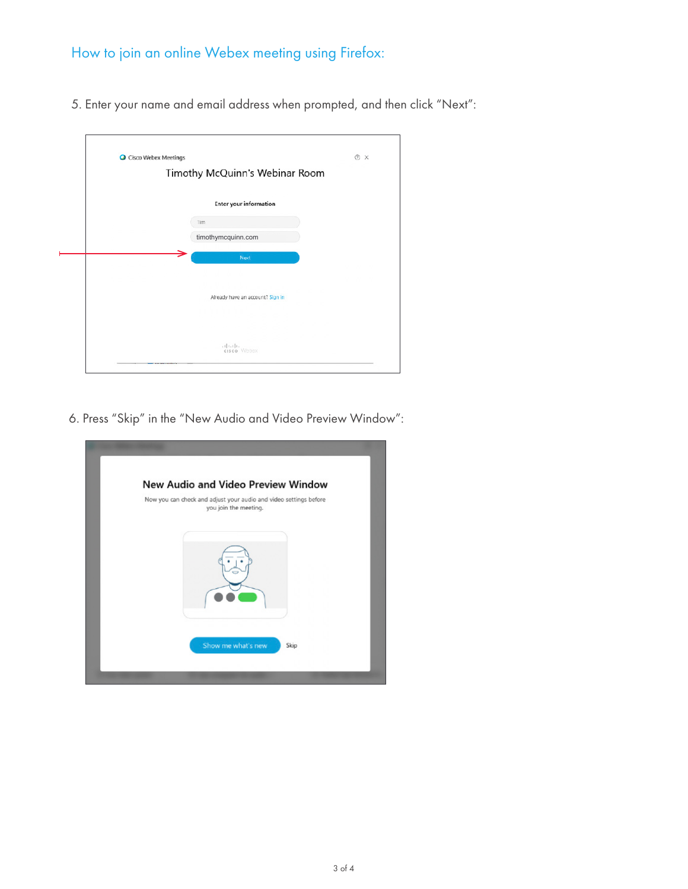5. Enter your name and email address when prompted, and then click "Next":

| <b>O</b> Cisco Webex Meetings |                                           | O X            |
|-------------------------------|-------------------------------------------|----------------|
|                               | Timothy McQuinn's Webinar Room            |                |
|                               | <b>Enter your information</b>             |                |
|                               | Tim                                       |                |
|                               | timothymcquinn.com                        |                |
|                               | Next                                      |                |
|                               |                                           | - 82 - 82      |
|                               | .                                         | n a f          |
|                               | Already have an account? Sign in<br>- a C |                |
|                               | .                                         | - 200          |
|                               |                                           | <b>ALC: NO</b> |
|                               | $-1111111$<br>cisco Webex                 |                |

6. Press "Skip" in the "New Audio and Video Preview Window":